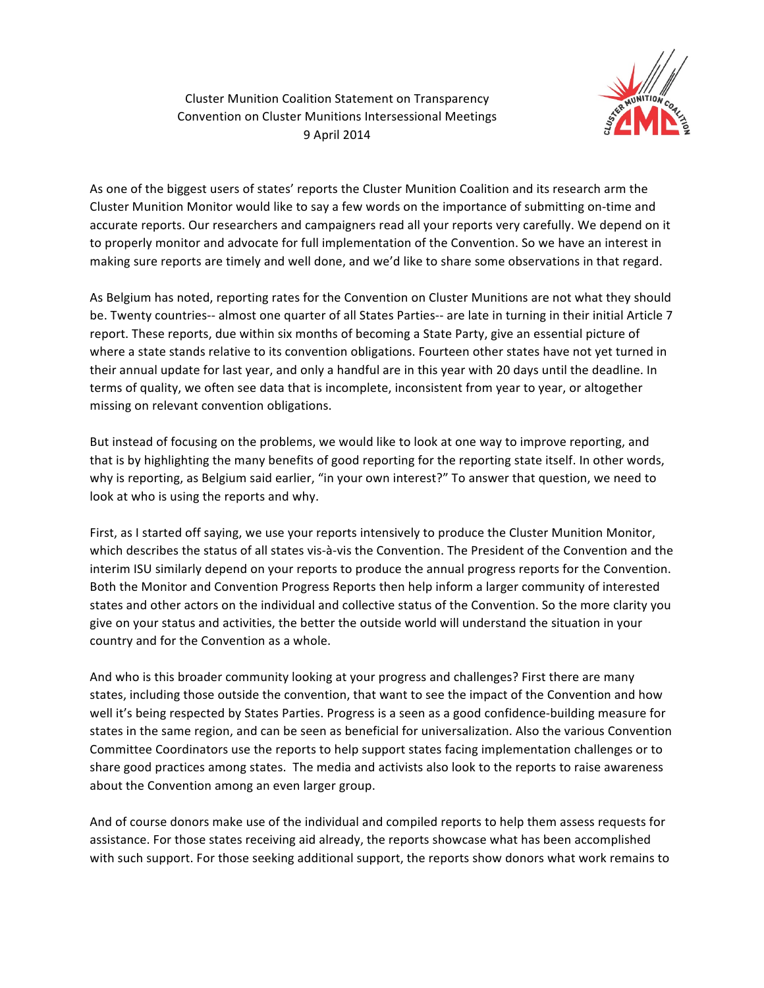

Cluster Munition Coalition Statement on Transparency Convention on Cluster Munitions Intersessional Meetings 9 April 2014

As one of the biggest users of states' reports the Cluster Munition Coalition and its research arm the Cluster Munition Monitor would like to say a few words on the importance of submitting on-time and accurate reports. Our researchers and campaigners read all your reports very carefully. We depend on it to properly monitor and advocate for full implementation of the Convention. So we have an interest in making sure reports are timely and well done, and we'd like to share some observations in that regard.

As Belgium has noted, reporting rates for the Convention on Cluster Munitions are not what they should be. Twenty countries-- almost one quarter of all States Parties-- are late in turning in their initial Article 7 report. These reports, due within six months of becoming a State Party, give an essential picture of where a state stands relative to its convention obligations. Fourteen other states have not yet turned in their annual update for last year, and only a handful are in this year with 20 days until the deadline. In terms of quality, we often see data that is incomplete, inconsistent from year to year, or altogether missing on relevant convention obligations.

But instead of focusing on the problems, we would like to look at one way to improve reporting, and that is by highlighting the many benefits of good reporting for the reporting state itself. In other words, why is reporting, as Belgium said earlier, "in your own interest?" To answer that question, we need to look at who is using the reports and why.

First, as I started off saying, we use your reports intensively to produce the Cluster Munition Monitor, which describes the status of all states vis-à-vis the Convention. The President of the Convention and the interim ISU similarly depend on your reports to produce the annual progress reports for the Convention. Both the Monitor and Convention Progress Reports then help inform a larger community of interested states and other actors on the individual and collective status of the Convention. So the more clarity you give on your status and activities, the better the outside world will understand the situation in your country and for the Convention as a whole.

And who is this broader community looking at your progress and challenges? First there are many states, including those outside the convention, that want to see the impact of the Convention and how well it's being respected by States Parties. Progress is a seen as a good confidence-building measure for states in the same region, and can be seen as beneficial for universalization. Also the various Convention Committee Coordinators use the reports to help support states facing implementation challenges or to share good practices among states. The media and activists also look to the reports to raise awareness about the Convention among an even larger group.

And of course donors make use of the individual and compiled reports to help them assess requests for assistance. For those states receiving aid already, the reports showcase what has been accomplished with such support. For those seeking additional support, the reports show donors what work remains to